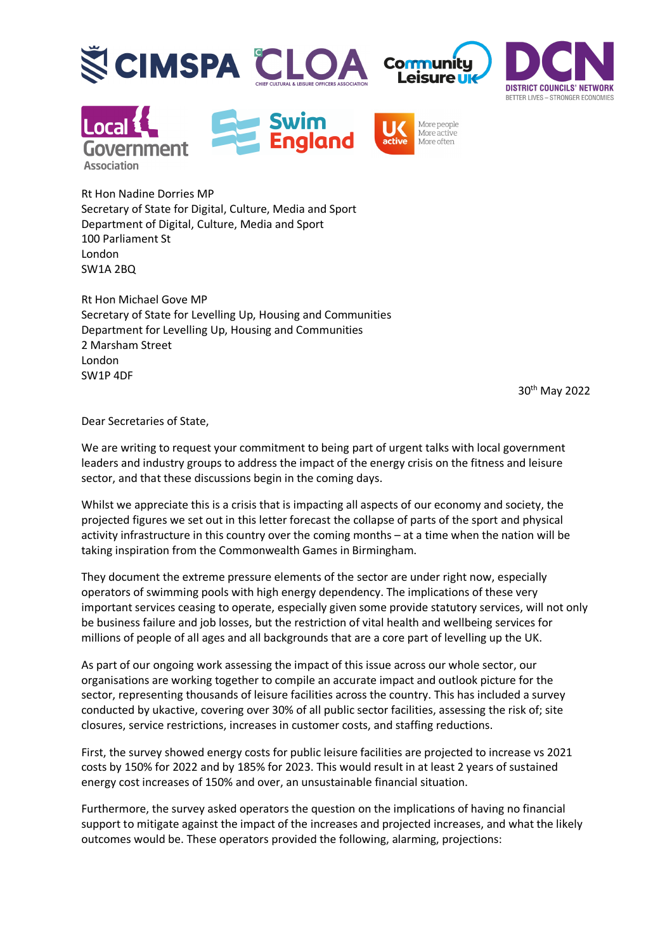











Rt Hon Nadine Dorries MP Secretary of State for Digital, Culture, Media and Sport Department of Digital, Culture, Media and Sport 100 Parliament St London SW1A 2BQ

Rt Hon Michael Gove MP Secretary of State for Levelling Up, Housing and Communities Department for Levelling Up, Housing and Communities 2 Marsham Street London SW1P 4DF

30th May 2022

Dear Secretaries of State,

We are writing to request your commitment to being part of urgent talks with local government leaders and industry groups to address the impact of the energy crisis on the fitness and leisure sector, and that these discussions begin in the coming days.

Whilst we appreciate this is a crisis that is impacting all aspects of our economy and society, the projected figures we set out in this letter forecast the collapse of parts of the sport and physical activity infrastructure in this country over the coming months – at a time when the nation will be taking inspiration from the Commonwealth Games in Birmingham.

They document the extreme pressure elements of the sector are under right now, especially operators of swimming pools with high energy dependency. The implications of these very important services ceasing to operate, especially given some provide statutory services, will not only be business failure and job losses, but the restriction of vital health and wellbeing services for millions of people of all ages and all backgrounds that are a core part of levelling up the UK.

As part of our ongoing work assessing the impact of this issue across our whole sector, our organisations are working together to compile an accurate impact and outlook picture for the sector, representing thousands of leisure facilities across the country. This has included a survey conducted by ukactive, covering over 30% of all public sector facilities, assessing the risk of; site closures, service restrictions, increases in customer costs, and staffing reductions.

First, the survey showed energy costs for public leisure facilities are projected to increase vs 2021 costs by 150% for 2022 and by 185% for 2023. This would result in at least 2 years of sustained energy cost increases of 150% and over, an unsustainable financial situation.

Furthermore, the survey asked operators the question on the implications of having no financial support to mitigate against the impact of the increases and projected increases, and what the likely outcomes would be. These operators provided the following, alarming, projections: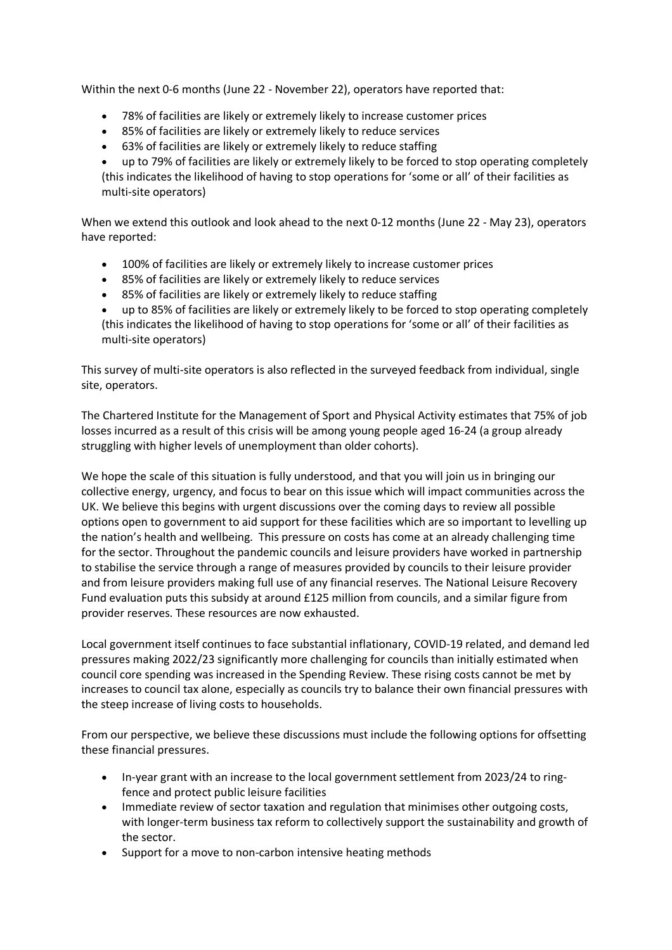Within the next 0-6 months (June 22 - November 22), operators have reported that:

- 78% of facilities are likely or extremely likely to increase customer prices
- 85% of facilities are likely or extremely likely to reduce services
- 63% of facilities are likely or extremely likely to reduce staffing

• up to 79% of facilities are likely or extremely likely to be forced to stop operating completely (this indicates the likelihood of having to stop operations for 'some or all' of their facilities as multi-site operators)

When we extend this outlook and look ahead to the next 0-12 months (June 22 - May 23), operators have reported:

- 100% of facilities are likely or extremely likely to increase customer prices
- 85% of facilities are likely or extremely likely to reduce services
- 85% of facilities are likely or extremely likely to reduce staffing

• up to 85% of facilities are likely or extremely likely to be forced to stop operating completely (this indicates the likelihood of having to stop operations for 'some or all' of their facilities as multi-site operators)

This survey of multi-site operators is also reflected in the surveyed feedback from individual, single site, operators.

The Chartered Institute for the Management of Sport and Physical Activity estimates that 75% of job losses incurred as a result of this crisis will be among young people aged 16-24 (a group already struggling with higher levels of unemployment than older cohorts).

We hope the scale of this situation is fully understood, and that you will join us in bringing our collective energy, urgency, and focus to bear on this issue which will impact communities across the UK. We believe this begins with urgent discussions over the coming days to review all possible options open to government to aid support for these facilities which are so important to levelling up the nation's health and wellbeing. This pressure on costs has come at an already challenging time for the sector. Throughout the pandemic councils and leisure providers have worked in partnership to stabilise the service through a range of measures provided by councils to their leisure provider and from leisure providers making full use of any financial reserves. The National Leisure Recovery Fund evaluation puts this subsidy at around £125 million from councils, and a similar figure from provider reserves. These resources are now exhausted.

Local government itself continues to face substantial inflationary, COVID-19 related, and demand led pressures making 2022/23 significantly more challenging for councils than initially estimated when council core spending was increased in the Spending Review. These rising costs cannot be met by increases to council tax alone, especially as councils try to balance their own financial pressures with the steep increase of living costs to households.

From our perspective, we believe these discussions must include the following options for offsetting these financial pressures.

- In-year grant with an increase to the local government settlement from 2023/24 to ringfence and protect public leisure facilities
- Immediate review of sector taxation and regulation that minimises other outgoing costs, with longer-term business tax reform to collectively support the sustainability and growth of the sector.
- Support for a move to non-carbon intensive heating methods